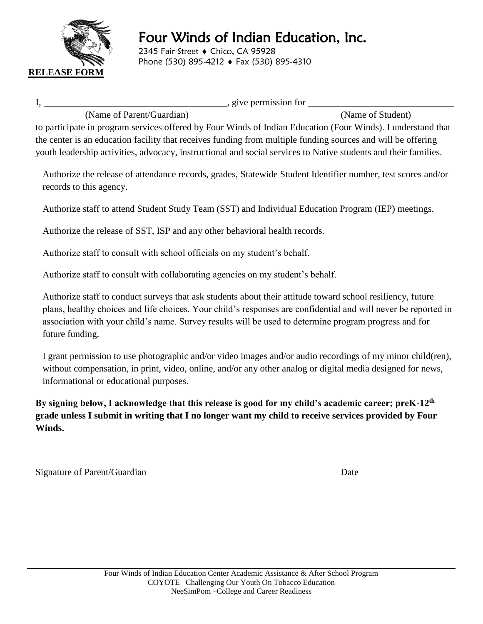

2345 Fair Street ♦ Chico, CA 95928 Phone (530) 895-4212 ♦ Fax (530) 895-4310

I, , give permission for

(Name of Parent/Guardian) (Name of Student)

to participate in program services offered by Four Winds of Indian Education (Four Winds). I understand that the center is an education facility that receives funding from multiple funding sources and will be offering youth leadership activities, advocacy, instructional and social services to Native students and their families.

Authorize the release of attendance records, grades, Statewide Student Identifier number, test scores and/or records to this agency.

Authorize staff to attend Student Study Team (SST) and Individual Education Program (IEP) meetings.

Authorize the release of SST, ISP and any other behavioral health records.

Authorize staff to consult with school officials on my student's behalf.

Authorize staff to consult with collaborating agencies on my student's behalf.

Authorize staff to conduct surveys that ask students about their attitude toward school resiliency, future plans, healthy choices and life choices. Your child's responses are confidential and will never be reported in association with your child's name. Survey results will be used to determine program progress and for future funding.

I grant permission to use photographic and/or video images and/or audio recordings of my minor child(ren), without compensation, in print, video, online, and/or any other analog or digital media designed for news, informational or educational purposes.

**By signing below, I acknowledge that this release is good for my child's academic career; preK-12th grade unless I submit in writing that I no longer want my child to receive services provided by Four Winds.**

Signature of Parent/Guardian Date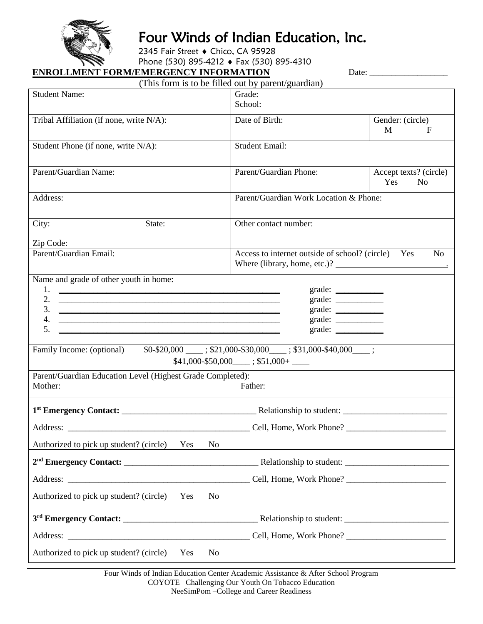

2345 Fair Street ♦ Chico, CA 95928

Phone (530) 895-4212 ♦ Fax (530) 895-4310

#### **ENROLLMENT FORM/EMERGENCY INFORMATION**

| Date: |  |
|-------|--|
|       |  |

|                                                                                                                              | (This form is to be filled out by parent/guardian)        |                                                 |
|------------------------------------------------------------------------------------------------------------------------------|-----------------------------------------------------------|-------------------------------------------------|
| <b>Student Name:</b>                                                                                                         | Grade:<br>School:                                         |                                                 |
| Tribal Affiliation (if none, write N/A):                                                                                     | Date of Birth:                                            | Gender: (circle)<br>M<br>$\mathbf F$            |
| Student Phone (if none, write N/A):                                                                                          | <b>Student Email:</b>                                     |                                                 |
| Parent/Guardian Name:                                                                                                        | Parent/Guardian Phone:                                    | Accept texts? (circle)<br>Yes<br>N <sub>0</sub> |
| Address:                                                                                                                     | Parent/Guardian Work Location & Phone:                    |                                                 |
| City:<br>State:                                                                                                              | Other contact number:                                     |                                                 |
| Zip Code:                                                                                                                    |                                                           |                                                 |
| Parent/Guardian Email:                                                                                                       | Access to internet outside of school? (circle) Yes        | N <sub>0</sub>                                  |
| Name and grade of other youth in home:                                                                                       |                                                           |                                                 |
| 1.<br><u> Andreas Andreas Andreas Andreas Andreas Andreas Andreas Andreas Andreas Andreas Andreas Andreas Andreas Andr</u>   | grade: $\frac{\qquad \qquad }{\qquad \qquad }$            |                                                 |
| 2.                                                                                                                           | grade: $\frac{\qquad \qquad }{\qquad \qquad }$            |                                                 |
| 3.                                                                                                                           | grade: $\frac{\qquad \qquad }{\qquad \qquad }$            |                                                 |
| 4.                                                                                                                           | grade: $\frac{1}{\sqrt{1-\frac{1}{2}} \cdot \frac{1}{2}}$ |                                                 |
| 5.<br><u> 2000 - Jan James James Barnett, amerikan basar dan bagi dan bagi dan bagi dan bagi dan bagi dan bagi dan bagi </u> | $grade: \_$                                               |                                                 |
| Family Income: (optional) \$0-\$20,000 ____; \$21,000-\$30,000 ___; \$31,000-\$40,000 ___;                                   | $$41,000 - $50,000$ ; \$51,000 + _____                    |                                                 |
| Parent/Guardian Education Level (Highest Grade Completed):                                                                   |                                                           |                                                 |
| Mother:                                                                                                                      | Father:                                                   |                                                 |
|                                                                                                                              |                                                           |                                                 |
| Address:                                                                                                                     | Cell, Home, Work Phone?                                   |                                                 |
| Authorized to pick up student? (circle) Yes<br>N <sub>0</sub>                                                                |                                                           |                                                 |
|                                                                                                                              |                                                           |                                                 |
|                                                                                                                              |                                                           |                                                 |
| Authorized to pick up student? (circle) Yes<br>N <sub>0</sub>                                                                |                                                           |                                                 |
|                                                                                                                              |                                                           |                                                 |
|                                                                                                                              |                                                           |                                                 |
| Authorized to pick up student? (circle)<br>Yes<br>No                                                                         |                                                           |                                                 |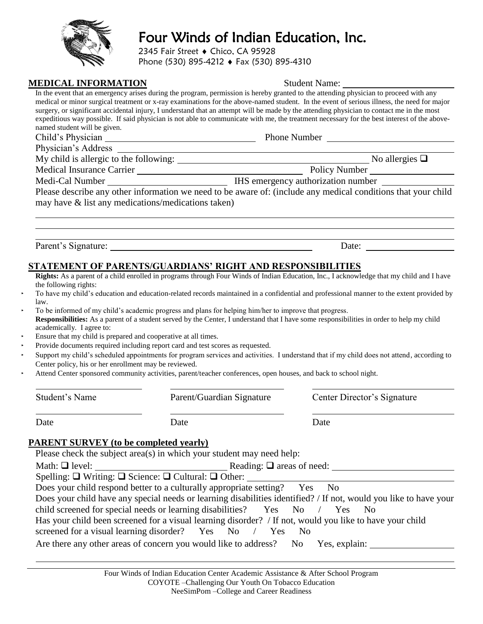2345 Fair Street ♦ Chico, CA 95928

Phone (530) 895-4212 ♦ Fax (530) 895-4310

|--|

|                                                                |                                                                                                                  | In the event that an emergency arises during the program, permission is hereby granted to the attending physician to proceed with any<br>medical or minor surgical treatment or x-ray examinations for the above-named student. In the event of serious illness, the need for major |  |  |
|----------------------------------------------------------------|------------------------------------------------------------------------------------------------------------------|-------------------------------------------------------------------------------------------------------------------------------------------------------------------------------------------------------------------------------------------------------------------------------------|--|--|
|                                                                |                                                                                                                  | surgery, or significant accidental injury, I understand that an attempt will be made by the attending physician to contact me in the most                                                                                                                                           |  |  |
| named student will be given.                                   |                                                                                                                  | expeditious way possible. If said physician is not able to communicate with me, the treatment necessary for the best interest of the above-                                                                                                                                         |  |  |
|                                                                |                                                                                                                  |                                                                                                                                                                                                                                                                                     |  |  |
|                                                                |                                                                                                                  |                                                                                                                                                                                                                                                                                     |  |  |
|                                                                |                                                                                                                  |                                                                                                                                                                                                                                                                                     |  |  |
|                                                                |                                                                                                                  |                                                                                                                                                                                                                                                                                     |  |  |
|                                                                |                                                                                                                  |                                                                                                                                                                                                                                                                                     |  |  |
|                                                                |                                                                                                                  |                                                                                                                                                                                                                                                                                     |  |  |
| may have & list any medications/medications taken)             |                                                                                                                  |                                                                                                                                                                                                                                                                                     |  |  |
|                                                                |                                                                                                                  |                                                                                                                                                                                                                                                                                     |  |  |
|                                                                |                                                                                                                  |                                                                                                                                                                                                                                                                                     |  |  |
|                                                                |                                                                                                                  |                                                                                                                                                                                                                                                                                     |  |  |
|                                                                |                                                                                                                  | Date: $\qquad \qquad$                                                                                                                                                                                                                                                               |  |  |
|                                                                |                                                                                                                  |                                                                                                                                                                                                                                                                                     |  |  |
|                                                                | <b>STATEMENT OF PARENTS/GUARDIANS' RIGHT AND RESPONSIBILITIES</b>                                                |                                                                                                                                                                                                                                                                                     |  |  |
| the following rights:                                          |                                                                                                                  | Rights: As a parent of a child enrolled in programs through Four Winds of Indian Education, Inc., I acknowledge that my child and I have                                                                                                                                            |  |  |
|                                                                |                                                                                                                  | To have my child's education and education-related records maintained in a confidential and professional manner to the extent provided by                                                                                                                                           |  |  |
| law.                                                           |                                                                                                                  |                                                                                                                                                                                                                                                                                     |  |  |
|                                                                | To be informed of my child's academic progress and plans for helping him/her to improve that progress.           |                                                                                                                                                                                                                                                                                     |  |  |
| academically. I agree to:                                      |                                                                                                                  | Responsibilities: As a parent of a student served by the Center, I understand that I have some responsibilities in order to help my child                                                                                                                                           |  |  |
| Ensure that my child is prepared and cooperative at all times. |                                                                                                                  |                                                                                                                                                                                                                                                                                     |  |  |
|                                                                | Provide documents required including report card and test scores as requested.                                   |                                                                                                                                                                                                                                                                                     |  |  |
|                                                                |                                                                                                                  | Support my child's scheduled appointments for program services and activities. I understand that if my child does not attend, according to                                                                                                                                          |  |  |
| Center policy, his or her enrollment may be reviewed.          |                                                                                                                  |                                                                                                                                                                                                                                                                                     |  |  |
|                                                                | Attend Center sponsored community activities, parent/teacher conferences, open houses, and back to school night. |                                                                                                                                                                                                                                                                                     |  |  |
| Student's Name                                                 | Parent/Guardian Signature                                                                                        | Center Director's Signature                                                                                                                                                                                                                                                         |  |  |
| Date                                                           | Date                                                                                                             | Date                                                                                                                                                                                                                                                                                |  |  |
|                                                                |                                                                                                                  |                                                                                                                                                                                                                                                                                     |  |  |
| <b>PARENT SURVEY</b> (to be completed yearly)                  |                                                                                                                  |                                                                                                                                                                                                                                                                                     |  |  |
|                                                                | Please check the subject area(s) in which your student may need help:                                            |                                                                                                                                                                                                                                                                                     |  |  |
|                                                                |                                                                                                                  |                                                                                                                                                                                                                                                                                     |  |  |
|                                                                |                                                                                                                  |                                                                                                                                                                                                                                                                                     |  |  |
|                                                                | Does your child respond better to a culturally appropriate setting? Yes                                          | N <sub>o</sub>                                                                                                                                                                                                                                                                      |  |  |
|                                                                |                                                                                                                  | Does your child have any special needs or learning disabilities identified? / If not, would you like to have your                                                                                                                                                                   |  |  |

child screened for special needs or learning disabilities? Yes No / Yes No

Has your child been screened for a visual learning disorder? / If not, would you like to have your child

screened for a visual learning disorder? Yes No / Yes No

Are there any other areas of concern you would like to address? No Yes, explain:



**Student Name:**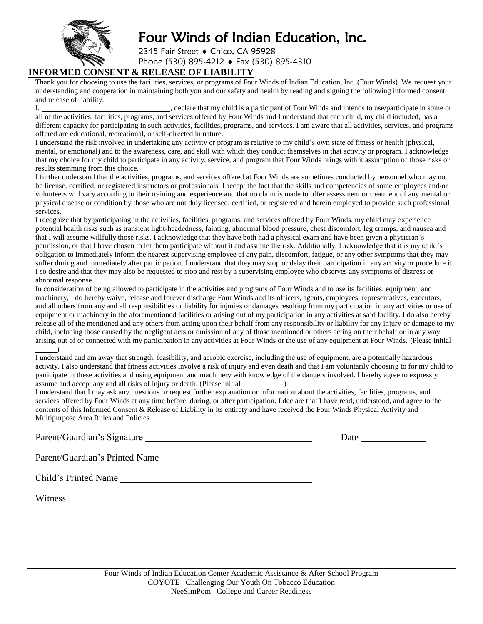

2345 Fair Street ♦ Chico, CA 95928 Phone (530) 895-4212 ♦ Fax (530) 895-4310

#### **INFORMED CONSENT & RELEASE OF LIABILITY**

Thank you for choosing to use the facilities, services, or programs of Four Winds of Indian Education, Inc. (Four Winds). We request your understanding and cooperation in maintaining both you and our safety and health by reading and signing the following informed consent and release of liability.

I, the clare that my child is a participant of Four Winds and intends to use/participate in some or all of the activities, facilities, programs, and services offered by Four Winds and I understand that each child, my child included, has a different capacity for participating in such activities, facilities, programs, and services. I am aware that all activities, services, and programs offered are educational, recreational, or self-directed in nature.

I understand the risk involved in undertaking any activity or program is relative to my child's own state of fitness or health (physical, mental, or emotional) and to the awareness, care, and skill with which they conduct themselves in that activity or program. I acknowledge that my choice for my child to participate in any activity, service, and program that Four Winds brings with it assumption of those risks or results stemming from this choice.

I further understand that the activities, programs, and services offered at Four Winds are sometimes conducted by personnel who may not be license, certified, or registered instructors or professionals. I accept the fact that the skills and competencies of some employees and/or volunteers will vary according to their training and experience and that no claim is made to offer assessment or treatment of any mental or physical disease or condition by those who are not duly licensed, certified, or registered and herein employed to provide such professional services.

I recognize that by participating in the activities, facilities, programs, and services offered by Four Winds, my child may experience potential health risks such as transient light-headedness, fainting, abnormal blood pressure, chest discomfort, leg cramps, and nausea and that I will assume willfully those risks. I acknowledge that they have both had a physical exam and have been given a physician's permission, or that I have chosen to let them participate without it and assume the risk. Additionally, I acknowledge that it is my child's obligation to immediately inform the nearest supervising employee of any pain, discomfort, fatigue, or any other symptoms that they may suffer during and immediately after participation. I understand that they may stop or delay their participation in any activity or procedure if I so desire and that they may also be requested to stop and rest by a supervising employee who observes any symptoms of distress or abnormal response.

In consideration of being allowed to participate in the activities and programs of Four Winds and to use its facilities, equipment, and machinery, I do hereby waive, release and forever discharge Four Winds and its officers, agents, employees, representatives, executors, and all others from any and all responsibilities or liability for injuries or damages resulting from my participation in any activities or use of equipment or machinery in the aforementioned facilities or arising out of my participation in any activities at said facility. I do also hereby release all of the mentioned and any others from acting upon their behalf from any responsibility or liability for any injury or damage to my child, including those caused by the negligent acts or omission of any of those mentioned or others acting on their behalf or in any way arising out of or connected with my participation in any activities at Four Winds or the use of any equipment at Four Winds. (Please initial )

I understand and am away that strength, feasibility, and aerobic exercise, including the use of equipment, are a potentially hazardous activity. I also understand that fitness activities involve a risk of injury and even death and that I am voluntarily choosing to for my child to participate in these activities and using equipment and machinery with knowledge of the dangers involved. I hereby agree to expressly assume and accept any and all risks of injury or death. (Please initial \_\_\_\_\_\_\_\_\_

I understand that I may ask any questions or request further explanation or information about the activities, facilities, programs, and services offered by Four Winds at any time before, during, or after participation. I declare that I have read, understood, and agree to the contents of this Informed Consent & Release of Liability in its entirety and have received the Four Winds Physical Activity and Multipurpose Area Rules and Policies

| Parent/Guardian's Signature    | Date |
|--------------------------------|------|
| Parent/Guardian's Printed Name |      |

Child's Printed Name

Witness **Witness**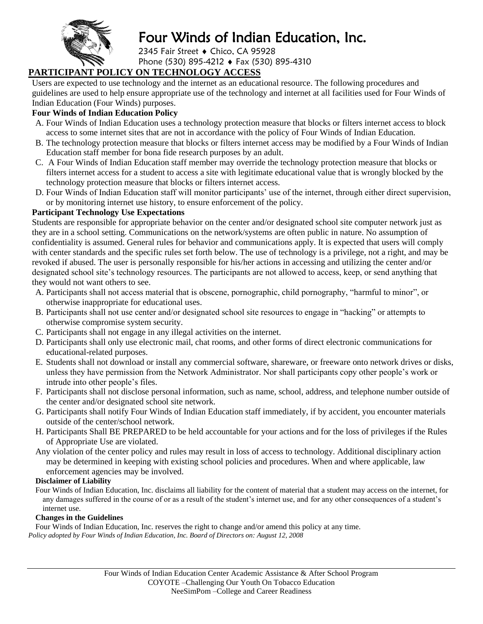

2345 Fair Street ♦ Chico, CA 95928 Phone (530) 895-4212 ♦ Fax (530) 895-4310

### **PARTICIPANT POLICY ON TECHNOLOGY ACCESS**

Users are expected to use technology and the internet as an educational resource. The following procedures and guidelines are used to help ensure appropriate use of the technology and internet at all facilities used for Four Winds of Indian Education (Four Winds) purposes.

#### **Four Winds of Indian Education Policy**

- A. Four Winds of Indian Education uses a technology protection measure that blocks or filters internet access to block access to some internet sites that are not in accordance with the policy of Four Winds of Indian Education.
- B. The technology protection measure that blocks or filters internet access may be modified by a Four Winds of Indian Education staff member for bona fide research purposes by an adult.
- C. A Four Winds of Indian Education staff member may override the technology protection measure that blocks or filters internet access for a student to access a site with legitimate educational value that is wrongly blocked by the technology protection measure that blocks or filters internet access.
- D. Four Winds of Indian Education staff will monitor participants' use of the internet, through either direct supervision, or by monitoring internet use history, to ensure enforcement of the policy.

#### **Participant Technology Use Expectations**

Students are responsible for appropriate behavior on the center and/or designated school site computer network just as they are in a school setting. Communications on the network/systems are often public in nature. No assumption of confidentiality is assumed. General rules for behavior and communications apply. It is expected that users will comply with center standards and the specific rules set forth below. The use of technology is a privilege, not a right, and may be revoked if abused. The user is personally responsible for his/her actions in accessing and utilizing the center and/or designated school site's technology resources. The participants are not allowed to access, keep, or send anything that they would not want others to see.

- A. Participants shall not access material that is obscene, pornographic, child pornography, "harmful to minor", or otherwise inappropriate for educational uses.
- B. Participants shall not use center and/or designated school site resources to engage in "hacking" or attempts to otherwise compromise system security.
- C. Participants shall not engage in any illegal activities on the internet.
- D. Participants shall only use electronic mail, chat rooms, and other forms of direct electronic communications for educational-related purposes.
- E. Students shall not download or install any commercial software, shareware, or freeware onto network drives or disks, unless they have permission from the Network Administrator. Nor shall participants copy other people's work or intrude into other people's files.
- F. Participants shall not disclose personal information, such as name, school, address, and telephone number outside of the center and/or designated school site network.
- G. Participants shall notify Four Winds of Indian Education staff immediately, if by accident, you encounter materials outside of the center/school network.
- H. Participants Shall BE PREPARED to be held accountable for your actions and for the loss of privileges if the Rules of Appropriate Use are violated.
- Any violation of the center policy and rules may result in loss of access to technology. Additional disciplinary action may be determined in keeping with existing school policies and procedures. When and where applicable, law enforcement agencies may be involved.

#### **Disclaimer of Liability**

Four Winds of Indian Education, Inc. disclaims all liability for the content of material that a student may access on the internet, for any damages suffered in the course of or as a result of the student's internet use, and for any other consequences of a student's internet use.

#### **Changes in the Guidelines**

Four Winds of Indian Education, Inc. reserves the right to change and/or amend this policy at any time. *Policy adopted by Four Winds of Indian Education, Inc. Board of Directors on: August 12, 2008*